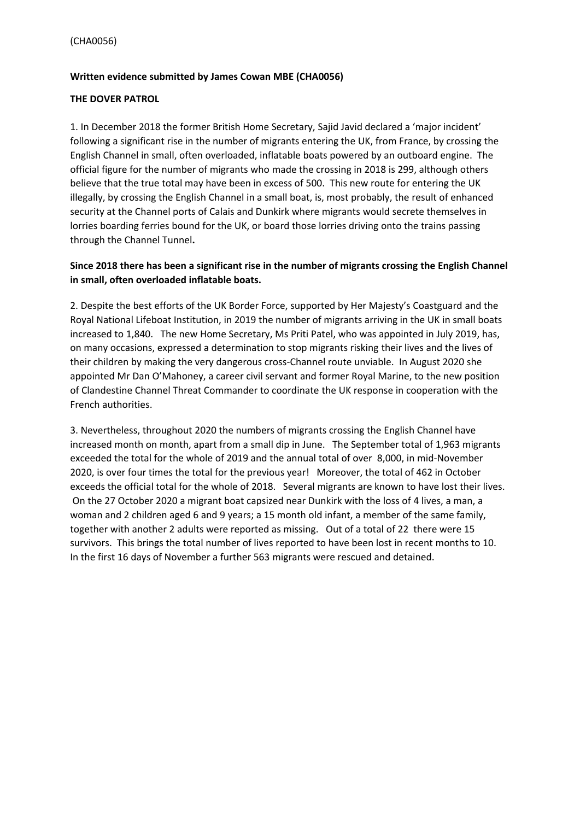#### **Written evidence submitted by James Cowan MBE (CHA0056)**

#### **THE DOVER PATROL**

1. In December 2018 the former British Home Secretary, Sajid Javid declared a 'major incident' following a significant rise in the number of migrants entering the UK, from France, by crossing the English Channel in small, often overloaded, inflatable boats powered by an outboard engine. The official figure for the number of migrants who made the crossing in 2018 is 299, although others believe that the true total may have been in excess of 500. This new route for entering the UK illegally, by crossing the English Channel in a small boat, is, most probably, the result of enhanced security at the Channel ports of Calais and Dunkirk where migrants would secrete themselves in lorries boarding ferries bound for the UK, or board those lorries driving onto the trains passing through the Channel Tunnel**.**

### **Since 2018 there has been a significant rise in the number of migrants crossing the English Channel in small, often overloaded inflatable boats.**

2. Despite the best efforts of the UK Border Force, supported by Her Majesty's Coastguard and the Royal National Lifeboat Institution, in 2019 the number of migrants arriving in the UK in small boats increased to 1,840. The new Home Secretary, Ms Priti Patel, who was appointed in July 2019, has, on many occasions, expressed a determination to stop migrants risking their lives and the lives of their children by making the very dangerous cross-Channel route unviable. In August 2020 she appointed Mr Dan O'Mahoney, a career civil servant and former Royal Marine, to the new position of Clandestine Channel Threat Commander to coordinate the UK response in cooperation with the French authorities.

3. Nevertheless, throughout 2020 the numbers of migrants crossing the English Channel have increased month on month, apart from a small dip in June. The September total of 1,963 migrants exceeded the total for the whole of 2019 and the annual total of over 8,000, in mid-November 2020, is over four times the total for the previous year! Moreover, the total of 462 in October exceeds the official total for the whole of 2018. Several migrants are known to have lost their lives. On the 27 October 2020 a migrant boat capsized near Dunkirk with the loss of 4 lives, a man, a woman and 2 children aged 6 and 9 years; a 15 month old infant, a member of the same family, together with another 2 adults were reported as missing. Out of a total of 22 there were 15 survivors. This brings the total number of lives reported to have been lost in recent months to 10. In the first 16 days of November a further 563 migrants were rescued and detained.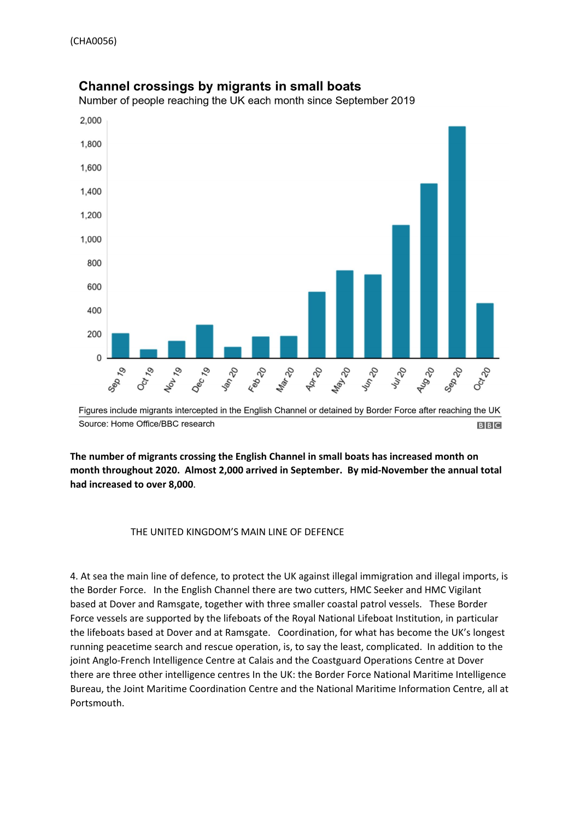

# Channel crossings by migrants in small boats

Number of people reaching the UK each month since September 2019

**The number of migrants crossing the English Channel in small boats has increased month on month throughout 2020. Almost 2,000 arrived in September. By mid-November the annual total had increased to over 8,000**.

#### THE UNITED KINGDOM'S MAIN LINE OF DEFENCE

4. At sea the main line of defence, to protect the UK against illegal immigration and illegal imports, is the Border Force. In the English Channel there are two cutters, HMC Seeker and HMC Vigilant based at Dover and Ramsgate, together with three smaller coastal patrol vessels. These Border Force vessels are supported by the lifeboats of the Royal National Lifeboat Institution, in particular the lifeboats based at Dover and at Ramsgate. Coordination, for what has become the UK's longest running peacetime search and rescue operation, is, to say the least, complicated. In addition to the joint Anglo-French Intelligence Centre at Calais and the Coastguard Operations Centre at Dover there are three other intelligence centres In the UK: the Border Force National Maritime Intelligence Bureau, the Joint Maritime Coordination Centre and the National Maritime Information Centre, all at Portsmouth.

Figures include migrants intercepted in the English Channel or detained by Border Force after reaching the UK Source: Home Office/BBC research **BBC**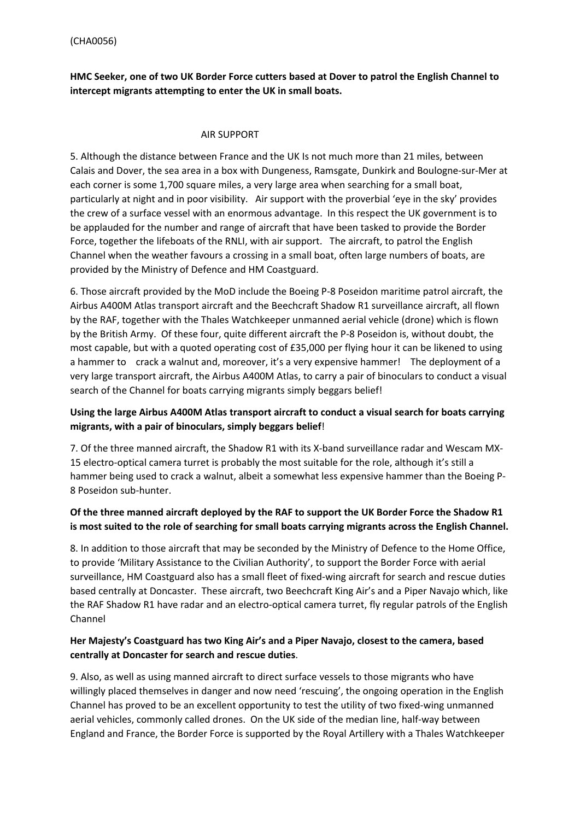## **HMC Seeker, one of two UK Border Force cutters based at Dover to patrol the English Channel to intercept migrants attempting to enter the UK in small boats.**

#### AIR SUPPORT

5. Although the distance between France and the UK Is not much more than 21 miles, between Calais and Dover, the sea area in a box with Dungeness, Ramsgate, Dunkirk and Boulogne-sur-Mer at each corner is some 1,700 square miles, a very large area when searching for a small boat, particularly at night and in poor visibility. Air support with the proverbial 'eye in the sky' provides the crew of a surface vessel with an enormous advantage. In this respect the UK government is to be applauded for the number and range of aircraft that have been tasked to provide the Border Force, together the lifeboats of the RNLI, with air support. The aircraft, to patrol the English Channel when the weather favours a crossing in a small boat, often large numbers of boats, are provided by the Ministry of Defence and HM Coastguard.

6. Those aircraft provided by the MoD include the Boeing P-8 Poseidon maritime patrol aircraft, the Airbus A400M Atlas transport aircraft and the Beechcraft Shadow R1 surveillance aircraft, all flown by the RAF, together with the Thales Watchkeeper unmanned aerial vehicle (drone) which is flown by the British Army. Of these four, quite different aircraft the P-8 Poseidon is, without doubt, the most capable, but with a quoted operating cost of £35,000 per flying hour it can be likened to using a hammer to crack a walnut and, moreover, it's a very expensive hammer! The deployment of a very large transport aircraft, the Airbus A400M Atlas, to carry a pair of binoculars to conduct a visual search of the Channel for boats carrying migrants simply beggars belief!

## **Using the large Airbus A400M Atlas transport aircraft to conduct a visual search for boats carrying migrants, with a pair of binoculars, simply beggars belief**!

7. Of the three manned aircraft, the Shadow R1 with its X-band surveillance radar and Wescam MX-15 electro-optical camera turret is probably the most suitable for the role, although it's still a hammer being used to crack a walnut, albeit a somewhat less expensive hammer than the Boeing P-8 Poseidon sub-hunter.

## **Of the three manned aircraft deployed by the RAF to support the UK Border Force the Shadow R1 is most suited to the role of searching for small boats carrying migrants across the English Channel.**

8. In addition to those aircraft that may be seconded by the Ministry of Defence to the Home Office, to provide 'Military Assistance to the Civilian Authority', to support the Border Force with aerial surveillance, HM Coastguard also has a small fleet of fixed-wing aircraft for search and rescue duties based centrally at Doncaster. These aircraft, two Beechcraft King Air's and a Piper Navajo which, like the RAF Shadow R1 have radar and an electro-optical camera turret, fly regular patrols of the English Channel

### **Her Majesty's Coastguard has two King Air's and a Piper Navajo, closest to the camera, based centrally at Doncaster for search and rescue duties**.

9. Also, as well as using manned aircraft to direct surface vessels to those migrants who have willingly placed themselves in danger and now need 'rescuing', the ongoing operation in the English Channel has proved to be an excellent opportunity to test the utility of two fixed-wing unmanned aerial vehicles, commonly called drones. On the UK side of the median line, half-way between England and France, the Border Force is supported by the Royal Artillery with a Thales Watchkeeper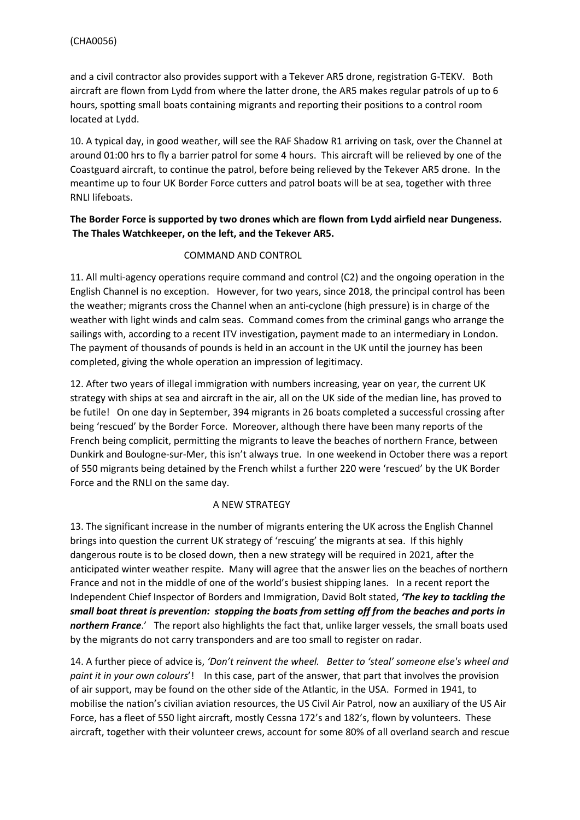and a civil contractor also provides support with a Tekever AR5 drone, registration G-TEKV. Both aircraft are flown from Lydd from where the latter drone, the AR5 makes regular patrols of up to 6 hours, spotting small boats containing migrants and reporting their positions to a control room located at Lydd.

10. A typical day, in good weather, will see the RAF Shadow R1 arriving on task, over the Channel at around 01:00 hrs to fly a barrier patrol for some 4 hours. This aircraft will be relieved by one of the Coastguard aircraft, to continue the patrol, before being relieved by the Tekever AR5 drone. In the meantime up to four UK Border Force cutters and patrol boats will be at sea, together with three RNLI lifeboats.

## **The Border Force is supported by two drones which are flown from Lydd airfield near Dungeness. The Thales Watchkeeper, on the left, and the Tekever AR5.**

### COMMAND AND CONTROL

11. All multi-agency operations require command and control (C2) and the ongoing operation in the English Channel is no exception. However, for two years, since 2018, the principal control has been the weather; migrants cross the Channel when an anti-cyclone (high pressure) is in charge of the weather with light winds and calm seas. Command comes from the criminal gangs who arrange the sailings with, according to a recent ITV investigation, payment made to an intermediary in London. The payment of thousands of pounds is held in an account in the UK until the journey has been completed, giving the whole operation an impression of legitimacy.

12. After two years of illegal immigration with numbers increasing, year on year, the current UK strategy with ships at sea and aircraft in the air, all on the UK side of the median line, has proved to be futile! On one day in September, 394 migrants in 26 boats completed a successful crossing after being 'rescued' by the Border Force. Moreover, although there have been many reports of the French being complicit, permitting the migrants to leave the beaches of northern France, between Dunkirk and Boulogne-sur-Mer, this isn't always true. In one weekend in October there was a report of 550 migrants being detained by the French whilst a further 220 were 'rescued' by the UK Border Force and the RNLI on the same day.

### A NEW STRATEGY

13. The significant increase in the number of migrants entering the UK across the English Channel brings into question the current UK strategy of 'rescuing' the migrants at sea. If this highly dangerous route is to be closed down, then a new strategy will be required in 2021, after the anticipated winter weather respite. Many will agree that the answer lies on the beaches of northern France and not in the middle of one of the world's busiest shipping lanes. In a recent report the Independent Chief Inspector of Borders and Immigration, David Bolt stated, *'The key to tackling the small boat threat is prevention: stopping the boats from setting off from the beaches and ports in northern France*.' The report also highlights the fact that, unlike larger vessels, the small boats used by the migrants do not carry transponders and are too small to register on radar.

14. A further piece of advice is, *'Don't reinvent the wheel. Better to 'steal' someone else's wheel and paint it in your own colours*'! In this case, part of the answer, that part that involves the provision of air support, may be found on the other side of the Atlantic, in the USA. Formed in 1941, to mobilise the nation's civilian aviation resources, the US Civil Air Patrol, now an auxiliary of the US Air Force, has a fleet of 550 light aircraft, mostly Cessna 172's and 182's, flown by volunteers. These aircraft, together with their volunteer crews, account for some 80% of all overland search and rescue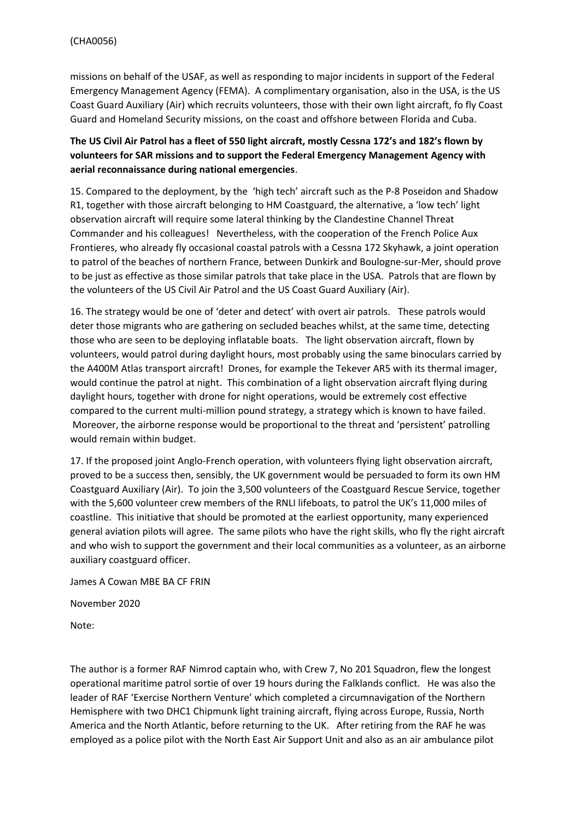missions on behalf of the USAF, as well as responding to major incidents in support of the Federal Emergency Management Agency (FEMA). A complimentary organisation, also in the USA, is the US Coast Guard Auxiliary (Air) which recruits volunteers, those with their own light aircraft, fo fly Coast Guard and Homeland Security missions, on the coast and offshore between Florida and Cuba.

## The US Civil Air Patrol has a fleet of 550 light aircraft, mostly Cessna 172's and 182's flown by **volunteers for SAR missions and to support the Federal Emergency Management Agency with aerial reconnaissance during national emergencies**.

15. Compared to the deployment, by the 'high tech' aircraft such as the P-8 Poseidon and Shadow R1, together with those aircraft belonging to HM Coastguard, the alternative, a 'low tech' light observation aircraft will require some lateral thinking by the Clandestine Channel Threat Commander and his colleagues! Nevertheless, with the cooperation of the French Police Aux Frontieres, who already fly occasional coastal patrols with a Cessna 172 Skyhawk, a joint operation to patrol of the beaches of northern France, between Dunkirk and Boulogne-sur-Mer, should prove to be just as effective as those similar patrols that take place in the USA. Patrols that are flown by the volunteers of the US Civil Air Patrol and the US Coast Guard Auxiliary (Air).

16. The strategy would be one of 'deter and detect' with overt air patrols. These patrols would deter those migrants who are gathering on secluded beaches whilst, at the same time, detecting those who are seen to be deploying inflatable boats. The light observation aircraft, flown by volunteers, would patrol during daylight hours, most probably using the same binoculars carried by the A400M Atlas transport aircraft! Drones, for example the Tekever AR5 with its thermal imager, would continue the patrol at night. This combination of a light observation aircraft flying during daylight hours, together with drone for night operations, would be extremely cost effective compared to the current multi-million pound strategy, a strategy which is known to have failed. Moreover, the airborne response would be proportional to the threat and 'persistent' patrolling would remain within budget.

17. If the proposed joint Anglo-French operation, with volunteers flying light observation aircraft, proved to be a success then, sensibly, the UK government would be persuaded to form its own HM Coastguard Auxiliary (Air). To join the 3,500 volunteers of the Coastguard Rescue Service, together with the 5,600 volunteer crew members of the RNLI lifeboats, to patrol the UK's 11,000 miles of coastline. This initiative that should be promoted at the earliest opportunity, many experienced general aviation pilots will agree. The same pilots who have the right skills, who fly the right aircraft and who wish to support the government and their local communities as a volunteer, as an airborne auxiliary coastguard officer.

James A Cowan MBE BA CF FRIN

November 2020

Note:

The author is a former RAF Nimrod captain who, with Crew 7, No 201 Squadron, flew the longest operational maritime patrol sortie of over 19 hours during the Falklands conflict. He was also the leader of RAF 'Exercise Northern Venture' which completed a circumnavigation of the Northern Hemisphere with two DHC1 Chipmunk light training aircraft, flying across Europe, Russia, North America and the North Atlantic, before returning to the UK. After retiring from the RAF he was employed as a police pilot with the North East Air Support Unit and also as an air ambulance pilot